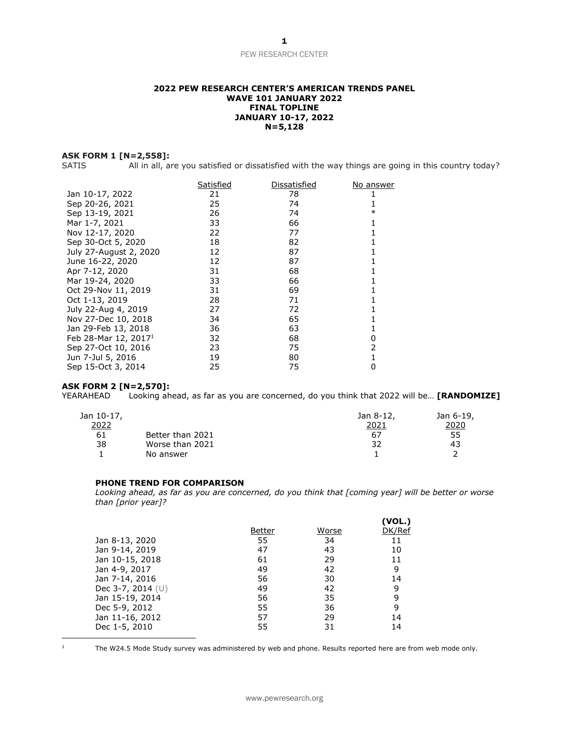### **2022 PEW RESEARCH CENTER'S AMERICAN TRENDS PANEL WAVE 101 JANUARY 2022 FINAL TOPLINE JANUARY 10-17, 2022 N=5,128**

### **ASK FORM 1 [N=2,558]:**

SATIS All in all, are you satisfied or dissatisfied with the way things are going in this country today?

|                                  | Satisfied | Dissatisfied | No answer |
|----------------------------------|-----------|--------------|-----------|
| Jan 10-17, 2022                  | 21        | 78           |           |
| Sep 20-26, 2021                  | 25        | 74           |           |
| Sep 13-19, 2021                  | 26        | 74           | ∗         |
| Mar 1-7, 2021                    | 33        | 66           |           |
| Nov 12-17, 2020                  | 22        | 77           |           |
| Sep 30-Oct 5, 2020               | 18        | 82           |           |
| July 27-August 2, 2020           | 12        | 87           |           |
| June 16-22, 2020                 | 12        | 87           |           |
| Apr 7-12, 2020                   | 31        | 68           |           |
| Mar 19-24, 2020                  | 33        | 66           |           |
| Oct 29-Nov 11, 2019              | 31        | 69           |           |
| Oct 1-13, 2019                   | 28        | 71           |           |
| July 22-Aug 4, 2019              | 27        | 72           |           |
| Nov 27-Dec 10, 2018              | 34        | 65           |           |
| Jan 29-Feb 13, 2018              | 36        | 63           |           |
| Feb 28-Mar 12, 2017 <sup>1</sup> | 32        | 68           | O         |
| Sep 27-Oct 10, 2016              | 23        | 75           |           |
| Jun 7-Jul 5, 2016                | 19        | 80           |           |
| Sep 15-Oct 3, 2014               | 25        | 75           |           |

# **ASK FORM 2 [N=2,570]:**

Looking ahead, as far as you are concerned, do you think that 2022 will be... **[RANDOMIZE]** 

| Jan 10-17,   |                  | Jan 8-12, | Jan 6-19, |
|--------------|------------------|-----------|-----------|
| <u> 2022</u> |                  | 2021      | 2020      |
| 61           | Better than 2021 | 67        | 55        |
| 38           | Worse than 2021  | 32        | 43        |
|              | No answer        |           |           |

### **PHONE TREND FOR COMPARISON**

*Looking ahead, as far as you are concerned, do you think that [coming year] will be better or worse than [prior year]?*

|                     | Better | Worse | (VOL.)<br>DK/Ref |
|---------------------|--------|-------|------------------|
| Jan 8-13, 2020      | 55     | 34    | 11               |
| Jan 9-14, 2019      | 47     | 43    | 10               |
| Jan 10-15, 2018     | 61     | 29    | 11               |
| Jan 4-9, 2017       | 49     | 42    | 9                |
| Jan 7-14, 2016      | 56     | 30    | 14               |
| Dec 3-7, 2014 $(U)$ | 49     | 42    | 9                |
| Jan 15-19, 2014     | 56     | 35    | 9                |
| Dec 5-9, 2012       | 55     | 36    | 9                |
| Jan 11-16, 2012     | 57     | 29    | 14               |
| Dec 1-5, 2010       | 55     | 31    | 14               |

1

The W24.5 Mode Study survey was administered by web and phone. Results reported here are from web mode only.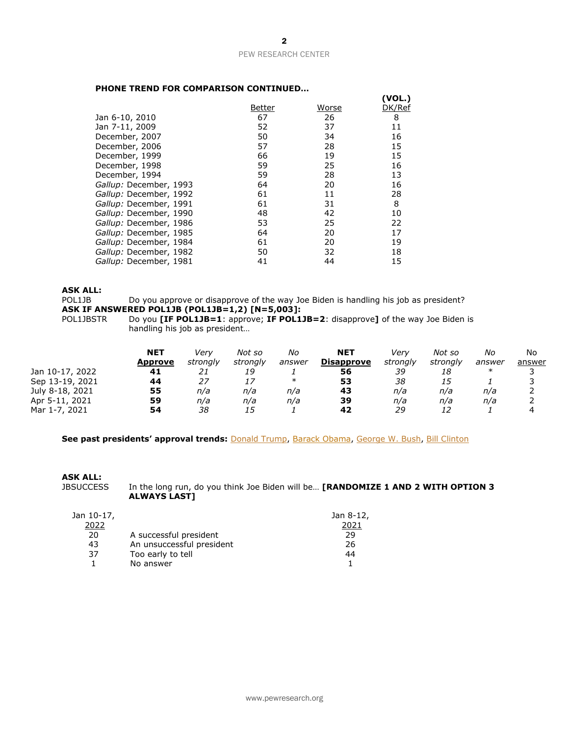### **PHONE TREND FOR COMPARISON CONTINUED…**

|    |        | (VOL.)       |
|----|--------|--------------|
|    |        | DK/Ref       |
| 67 | 26     | 8            |
| 52 | 37     | 11           |
| 50 | 34     | 16           |
| 57 | 28     | 15           |
| 66 | 19     | 15           |
| 59 | 25     | 16           |
| 59 | 28     | 13           |
| 64 | 20     | 16           |
| 61 | 11     | 28           |
| 61 | 31     | 8            |
| 48 | 42     | 10           |
| 53 | 25     | 22           |
| 64 | 20     | 17           |
| 61 | 20     | 19           |
| 50 | 32     | 18           |
| 41 | 44     | 15           |
|    | Better | <b>Worse</b> |

### **ASK ALL:**

POL1JB Do you approve or disapprove of the way Joe Biden is handling his job as president? **ASK IF ANSWERED POL1JB (POL1JB=1,2) [N=5,003]:**

POL1JBSTR Do you **[IF POL1JB=1**: approve; **IF POL1JB=2**: disapprove**]** of the way Joe Biden is handling his job as president…

|                 | <b>NET</b> | Verv     | Not so   | No     | <b>NET</b>        | Verv     | Not so   | No     | No     |
|-----------------|------------|----------|----------|--------|-------------------|----------|----------|--------|--------|
|                 | Approve    | strongly | strongly | answer | <b>Disapprove</b> | strongly | strongly | answer | answer |
| Jan 10-17, 2022 | 41         | 21       | 19       |        | 56                | 39       | 18       | $\ast$ |        |
| Sep 13-19, 2021 | 44         |          | 17       | $\ast$ | 53                | 38       | 15       |        |        |
| July 8-18, 2021 | 55         | n/a      | n/a      | n/a    | 43                | n/a      | n/a      | n/a    |        |
| Apr 5-11, 2021  | 59         | n/a      | n/a      | n/a    | 39                | n/a      | n/a      | n/a    |        |
| Mar 1-7, 2021   | 54         | 38       | 15       |        | 42                | 29       | 12       |        |        |

**See past presidents' approval trends:** [Donald Trump,](https://www.pewresearch.org/politics/wp-content/uploads/sites/4/2021/01/PP_2021.01.15_biden-trump-views_TOPLINE.pdf) [Barack Obama,](http://assets.pewresearch.org/wp-content/uploads/sites/5/2017/01/19114252/01-19-17-2017-Political-outlook-topline-for-release.pdf) [George W. Bush,](https://www.pewresearch.org/politics/2009/01/15/strong-confidence-in-obama-country-seen-as-less-politically-divided/) [Bill Clinton](https://www.pewresearch.org/politics/2001/01/11/clinton-nostalgia-sets-in-bush-reaction-mixed/)

# **ASK ALL:**

In the long run, do you think Joe Biden will be... [RANDOMIZE 1 AND 2 WITH OPTION 3 **ALWAYS LAST]**

| Jan 10-17, |                           | Jan 8-12, |
|------------|---------------------------|-----------|
| 2022       |                           | 2021      |
| 20         | A successful president    | 29        |
| 43         | An unsuccessful president | 26        |
| 37         | Too early to tell         | 44        |
|            | No answer                 |           |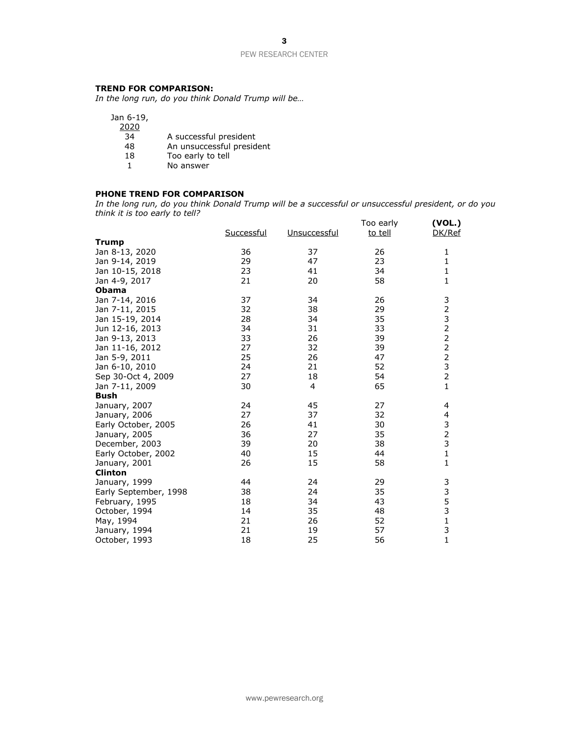3

### PEW RESEARCH CENTER

# **TREND FOR COMPARISON:**

*In the long run, do you think Donald Trump will be…*

| Jan 6-19,<br>2020 |                           |
|-------------------|---------------------------|
|                   |                           |
| 34                | A successful president    |
| 48                | An unsuccessful president |
| 18                | Too early to tell         |
|                   | No answer                 |
|                   |                           |

# **PHONE TREND FOR COMPARISON**

*In the long run, do you think Donald Trump will be a successful or unsuccessful president, or do you think it is too early to tell?*

|                       | Successful | Unsuccessful | Too early | (VOL.)<br>DK/Ref           |
|-----------------------|------------|--------------|-----------|----------------------------|
| <b>Trump</b>          |            |              | to tell   |                            |
| Jan 8-13, 2020        | 36         | 37           | 26        | 1                          |
|                       | 29         | 47           | 23        |                            |
| Jan 9-14, 2019        |            |              |           | $\mathbf 1$<br>$\mathbf 1$ |
| Jan 10-15, 2018       | 23         | 41           | 34        | $\mathbf 1$                |
| Jan 4-9, 2017         | 21         | 20           | 58        |                            |
| <b>Obama</b>          |            |              |           |                            |
| Jan 7-14, 2016        | 37         | 34           | 26        |                            |
| Jan 7-11, 2015        | 32         | 38           | 29        |                            |
| Jan 15-19, 2014       | 28         | 34           | 35        |                            |
| Jun 12-16, 2013       | 34         | 31           | 33        |                            |
| Jan 9-13, 2013        | 33         | 26           | 39        | 32322232                   |
| Jan 11-16, 2012       | 27         | 32           | 39        |                            |
| Jan 5-9, 2011         | 25         | 26           | 47        |                            |
| Jan 6-10, 2010        | 24         | 21           | 52        |                            |
| Sep 30-Oct 4, 2009    | 27         | 18           | 54        |                            |
| Jan 7-11, 2009        | 30         | 4            | 65        | $\mathbf{1}$               |
| Bush                  |            |              |           |                            |
| January, 2007         | 24         | 45           | 27        | 4                          |
| January, 2006         | 27         | 37           | 32        | 4                          |
| Early October, 2005   | 26         | 41           | 30        |                            |
| January, 2005         | 36         | 27           | 35        | 3<br>2<br>3<br>1           |
| December, 2003        | 39         | 20           | 38        |                            |
| Early October, 2002   | 40         | 15           | 44        |                            |
| January, 2001         | 26         | 15           | 58        | $\mathbf{1}$               |
| <b>Clinton</b>        |            |              |           |                            |
| January, 1999         | 44         | 24           | 29        |                            |
| Early September, 1998 | 38         | 24           | 35        |                            |
| February, 1995        | 18         | 34           | 43        |                            |
| October, 1994         | 14         | 35           | 48        |                            |
| May, 1994             | 21         | 26           | 52        | 3353131                    |
| January, 1994         | 21         | 19           | 57        |                            |
| October, 1993         | 18         | 25           | 56        |                            |
|                       |            |              |           |                            |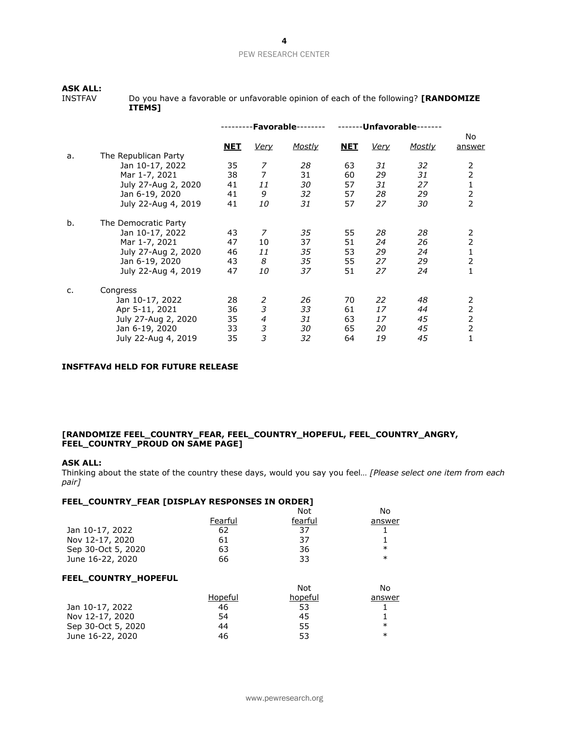# **ASK ALL:**

Do you have a favorable or unfavorable opinion of each of the following? **[RANDOMIZE ITEMS]**

|    |                      |            | $\cdot$ Favorable $\cdot$ |        |            | <b>Unfavorable-</b> |        |                |
|----|----------------------|------------|---------------------------|--------|------------|---------------------|--------|----------------|
|    |                      | <u>NET</u> | Very                      | Mostly | <b>NET</b> | <u>Very</u>         | Mostly | No.<br>answer  |
| a. | The Republican Party |            |                           |        |            |                     |        |                |
|    | Jan 10-17, 2022      | 35         | 7                         | 28     | 63         | 31                  | 32     | 2              |
|    | Mar 1-7, 2021        | 38         | $\overline{7}$            | 31     | 60         | 29                  | 31     | $\overline{2}$ |
|    | July 27-Aug 2, 2020  | 41         | 11                        | 30     | 57         | 31                  | 27     | $\mathbf{1}$   |
|    | Jan 6-19, 2020       | 41         | 9                         | 32     | 57         | 28                  | 29     | $\overline{2}$ |
|    | July 22-Aug 4, 2019  | 41         | 10                        | 31     | 57         | 27                  | 30     | $\overline{2}$ |
| b. | The Democratic Party |            |                           |        |            |                     |        |                |
|    | Jan 10-17, 2022      | 43         | 7                         | 35     | 55         | 28                  | 28     | 2              |
|    | Mar 1-7, 2021        | 47         | 10                        | 37     | 51         | 24                  | 26     | 2              |
|    | July 27-Aug 2, 2020  | 46         | 11                        | 35     | 53         | 29                  | 24     | 1              |
|    | Jan 6-19, 2020       | 43         | 8                         | 35     | 55         | 27                  | 29     | 2              |
|    | July 22-Aug 4, 2019  | 47         | 10                        | 37     | 51         | 27                  | 24     | $\mathbf{1}$   |
| c. | Congress             |            |                           |        |            |                     |        |                |
|    | Jan 10-17, 2022      | 28         | 2                         | 26     | 70         | 22                  | 48     | $\overline{2}$ |
|    | Apr 5-11, 2021       | 36         | 3                         | 33     | 61         | 17                  | 44     | $\overline{2}$ |
|    | July 27-Aug 2, 2020  | 35         | 4                         | 31     | 63         | 17                  | 45     | $\overline{2}$ |
|    | Jan 6-19, 2020       | 33         | 3                         | 30     | 65         | 20                  | 45     | $\overline{2}$ |
|    | July 22-Aug 4, 2019  | 35         | 3                         | 32     | 64         | 19                  | 45     | $\mathbf{1}$   |

# **INSFTFAVd HELD FOR FUTURE RELEASE**

## **[RANDOMIZE FEEL\_COUNTRY\_FEAR, FEEL\_COUNTRY\_HOPEFUL, FEEL\_COUNTRY\_ANGRY, FEEL\_COUNTRY\_PROUD ON SAME PAGE]**

#### **ASK ALL:**

Thinking about the state of the country these days, would you say you feel… *[Please select one item from each pair]*

## **FEEL\_COUNTRY\_FEAR [DISPLAY RESPONSES IN ORDER]**

|                      |         | <b>Not</b> | No     |
|----------------------|---------|------------|--------|
|                      | Fearful | fearful    | answer |
| Jan 10-17, 2022      | 62      | 37         |        |
| Nov 12-17, 2020      | 61      | 37         |        |
| Sep 30-Oct 5, 2020   | 63      | 36         | $\ast$ |
| June 16-22, 2020     | 66      | 33         | $\ast$ |
| FEEL_COUNTRY_HOPEFUL |         |            |        |
|                      |         | Not        | No     |
|                      | Hopeful | hopeful    | answer |
|                      |         |            |        |
| Jan 10-17, 2022      | 46      | 53         |        |
| Nov 12-17, 2020      | 54      | 45         |        |
| Sep 30-Oct 5, 2020   | 44      | 55         | $\ast$ |
| June 16-22, 2020     | 46      | 53         | $\ast$ |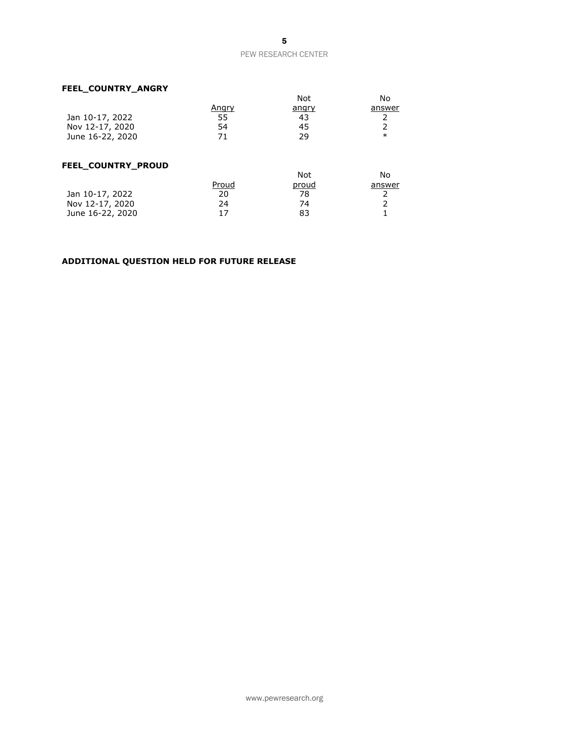# **FEEL\_COUNTRY\_ANGRY**

|                  |              | Not          | No     |
|------------------|--------------|--------------|--------|
|                  | <u>Angry</u> | <u>angry</u> | answer |
| Jan 10-17, 2022  | 55           | 43           |        |
| Nov 12-17, 2020  | 54           | 45           |        |
| June 16-22, 2020 |              | າງ           | $\ast$ |

# **FEEL\_COUNTRY\_PROUD**

|                  |       | Not   | No     |
|------------------|-------|-------|--------|
|                  | Proud | proud | answer |
| Jan 10-17, 2022  | 20    | 78    |        |
| Nov 12-17, 2020  | 24    | 74    |        |
| June 16-22, 2020 |       | 83    |        |

# **ADDITIONAL QUESTION HELD FOR FUTURE RELEASE**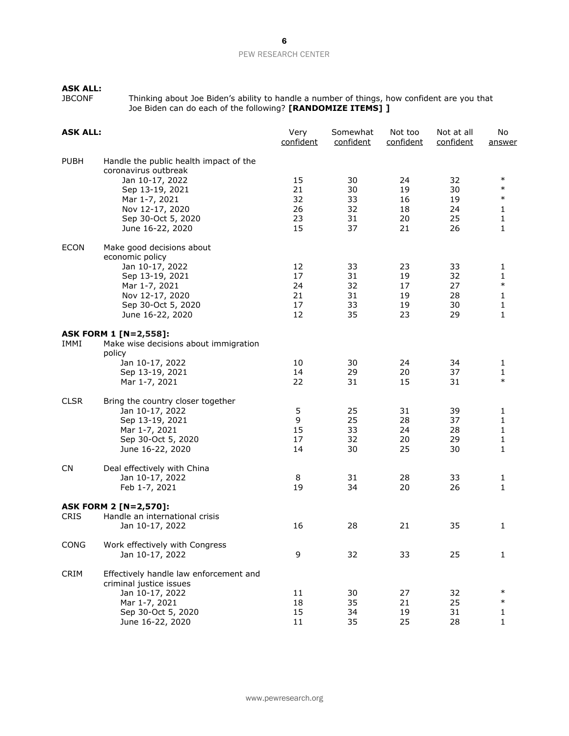# **ASK ALL:**

JBCONF Thinking about Joe Biden's ability to handle a number of things, how confident are you that Joe Biden can do each of the following? **[RANDOMIZE ITEMS] ]**

| <b>ASK ALL:</b> |                                                                                                                                                                                    | Very<br>confident                | Somewhat<br>confident            | Not too<br>confident             | Not at all<br>confident          | No<br>answer                               |
|-----------------|------------------------------------------------------------------------------------------------------------------------------------------------------------------------------------|----------------------------------|----------------------------------|----------------------------------|----------------------------------|--------------------------------------------|
| <b>PUBH</b>     | Handle the public health impact of the<br>coronavirus outbreak<br>Jan 10-17, 2022<br>Sep 13-19, 2021<br>Mar 1-7, 2021<br>Nov 12-17, 2020<br>Sep 30-Oct 5, 2020<br>June 16-22, 2020 | 15<br>21<br>32<br>26<br>23<br>15 | 30<br>30<br>33<br>32<br>31<br>37 | 24<br>19<br>16<br>18<br>20<br>21 | 32<br>30<br>19<br>24<br>25<br>26 | $\ast$<br>$\ast$<br>$\ast$<br>1<br>1<br>1  |
| <b>ECON</b>     | Make good decisions about<br>economic policy<br>Jan 10-17, 2022<br>Sep 13-19, 2021<br>Mar 1-7, 2021<br>Nov 12-17, 2020<br>Sep 30-Oct 5, 2020<br>June 16-22, 2020                   | 12<br>17<br>24<br>21<br>17<br>12 | 33<br>31<br>32<br>31<br>33<br>35 | 23<br>19<br>17<br>19<br>19<br>23 | 33<br>32<br>27<br>28<br>30<br>29 | 1<br>1<br>$\ast$<br>1<br>$\mathbf{1}$<br>1 |
| IMMI            | <b>ASK FORM 1 [N=2,558]:</b><br>Make wise decisions about immigration<br>policy<br>Jan 10-17, 2022<br>Sep 13-19, 2021<br>Mar 1-7, 2021                                             | 10<br>14<br>22                   | 30<br>29<br>31                   | 24<br>20<br>15                   | 34<br>37<br>31                   | 1<br>1<br>$\ast$                           |
| <b>CLSR</b>     | Bring the country closer together<br>Jan 10-17, 2022<br>Sep 13-19, 2021<br>Mar 1-7, 2021<br>Sep 30-Oct 5, 2020<br>June 16-22, 2020                                                 | 5<br>9<br>15<br>17<br>14         | 25<br>25<br>33<br>32<br>30       | 31<br>28<br>24<br>20<br>25       | 39<br>37<br>28<br>29<br>30       | 1<br>1<br>1<br>1<br>1                      |
| <b>CN</b>       | Deal effectively with China<br>Jan 10-17, 2022<br>Feb 1-7, 2021                                                                                                                    | 8<br>19                          | 31<br>34                         | 28<br>20                         | 33<br>26                         | 1<br>$\mathbf{1}$                          |
| <b>CRIS</b>     | <b>ASK FORM 2 [N=2,570]:</b><br>Handle an international crisis<br>Jan 10-17, 2022                                                                                                  | 16                               | 28                               | 21                               | 35                               | 1                                          |
| CONG            | Work effectively with Congress<br>Jan 10-17, 2022                                                                                                                                  | 9                                | 32                               | 33                               | 25                               | $\mathbf{1}$                               |
| <b>CRIM</b>     | Effectively handle law enforcement and<br>criminal justice issues<br>Jan 10-17, 2022<br>Mar 1-7, 2021<br>Sep 30-Oct 5, 2020<br>June 16-22, 2020                                    | 11<br>18<br>15<br>11             | 30<br>35<br>34<br>35             | 27<br>21<br>19<br>25             | 32<br>25<br>31<br>28             | $\ast$<br>$\ast$<br>1<br>1                 |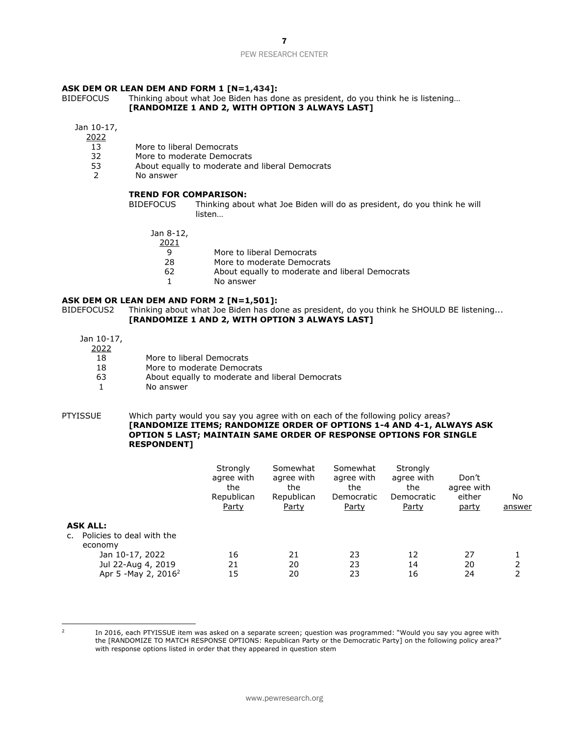### **ASK DEM OR LEAN DEM AND FORM 1 [N=1,434]:**

BIDEFOCUS Thinking about what Joe Biden has done as president, do you think he is listening… **[RANDOMIZE 1 AND 2, WITH OPTION 3 ALWAYS LAST]**

Jan 10-17,

2022

- 13 More to liberal Democrats
- 32 More to moderate Democrats
- 53 About equally to moderate and liberal Democrats<br>2 No answer
- No answer

#### **TREND FOR COMPARISON:**

BIDEFOCUS Thinking about what Joe Biden will do as president, do you think he will listen…

Jan 8-12,

2021

9 More to liberal Democrats<br>28 More to moderate Democr

More to moderate Democrats

- 62 About equally to moderate and liberal Democrats
- 1 No answer

#### **ASK DEM OR LEAN DEM AND FORM 2 [N=1,501]:**

BIDEFOCUS2 Thinking about what Joe Biden has done as president, do you think he SHOULD BE listening... **[RANDOMIZE 1 AND 2, WITH OPTION 3 ALWAYS LAST]**

Jan 10-17,

2022

| .  |  |                           |
|----|--|---------------------------|
| 18 |  | More to liberal Democrats |

- 18 More to moderate Democrats
- 63 About equally to moderate and liberal Democrats
- 1 No answer

#### PTYISSUE Which party would you say you agree with on each of the following policy areas? **[RANDOMIZE ITEMS; RANDOMIZE ORDER OF OPTIONS 1-4 AND 4-1, ALWAYS ASK OPTION 5 LAST; MAINTAIN SAME ORDER OF RESPONSE OPTIONS FOR SINGLE RESPONDENT]**

|                                                                                                                                            | Strongly<br>agree with<br>the<br>Republican<br>Party | Somewhat<br>agree with<br>the<br>Republican<br><u>Party</u> | Somewhat<br>agree with<br>the<br>Democratic<br><u>Party</u> | Strongly<br>agree with<br>the<br>Democratic<br><b>Party</b> | Don't<br>agree with<br>either<br><u>party</u> | No<br>answer |
|--------------------------------------------------------------------------------------------------------------------------------------------|------------------------------------------------------|-------------------------------------------------------------|-------------------------------------------------------------|-------------------------------------------------------------|-----------------------------------------------|--------------|
| <b>ASK ALL:</b><br>Policies to deal with the<br>C.<br>economy<br>Jan 10-17, 2022<br>Jul 22-Aug 4, 2019<br>Apr 5 - May 2, 2016 <sup>2</sup> | 16<br>21<br>15                                       | 21<br>20<br>20                                              | 23<br>23<br>23                                              | 12<br>14<br>16                                              | 27<br>20<br>24                                | ົາ           |

2

In 2016, each PTYISSUE item was asked on a separate screen; question was programmed: "Would you say you agree with the [RANDOMIZE TO MATCH RESPONSE OPTIONS: Republican Party or the Democratic Party] on the following policy area?" with response options listed in order that they appeared in question stem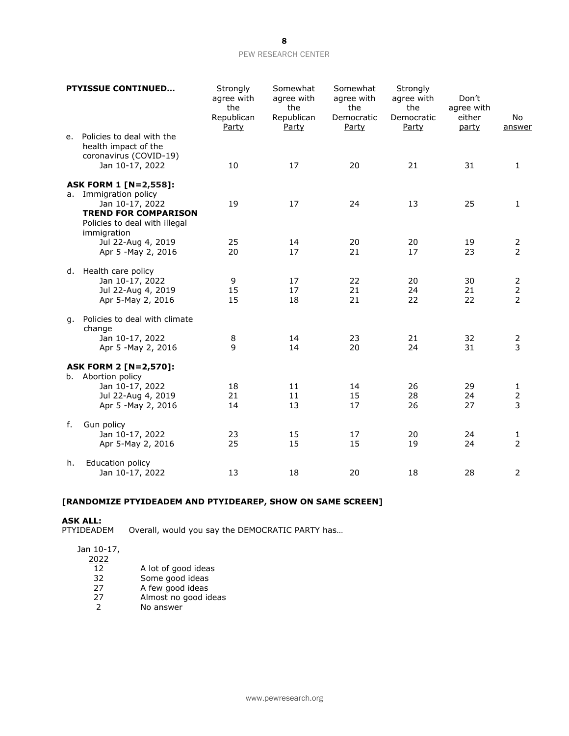# 8

### PEW RESEARCH CENTER

|    | <b>PTYISSUE CONTINUED</b>                                                                                                                                                  | Strongly<br>agree with<br>the<br>Republican<br>Party | Somewhat<br>agree with<br>the<br>Republican<br>Party | Somewhat<br>agree with<br>the<br>Democratic<br>Party | Strongly<br>agree with<br>the<br>Democratic<br>Party | Don't<br>agree with<br>either<br>party | No<br>answer                          |
|----|----------------------------------------------------------------------------------------------------------------------------------------------------------------------------|------------------------------------------------------|------------------------------------------------------|------------------------------------------------------|------------------------------------------------------|----------------------------------------|---------------------------------------|
| e. | Policies to deal with the<br>health impact of the<br>coronavirus (COVID-19)<br>Jan 10-17, 2022                                                                             | 10                                                   | 17                                                   | 20                                                   | 21                                                   | 31                                     | $\mathbf{1}$                          |
| а. | <b>ASK FORM 1 [N=2,558]:</b><br>Immigration policy<br>Jan 10-17, 2022<br><b>TREND FOR COMPARISON</b><br>Policies to deal with illegal<br>immigration<br>Jul 22-Aug 4, 2019 | 19<br>25                                             | 17<br>14                                             | 24<br>20                                             | 13<br>20                                             | 25<br>19                               | 1<br>$\overline{2}$                   |
|    | Apr 5 - May 2, 2016                                                                                                                                                        | 20                                                   | 17                                                   | 21                                                   | 17                                                   | 23                                     | $\overline{2}$                        |
|    | d. Health care policy<br>Jan 10-17, 2022<br>Jul 22-Aug 4, 2019<br>Apr 5-May 2, 2016                                                                                        | 9<br>15<br>15                                        | 17<br>17<br>18                                       | 22<br>21<br>21                                       | 20<br>24<br>22                                       | 30<br>21<br>22                         | 2<br>$\overline{2}$<br>$\overline{2}$ |
| g. | Policies to deal with climate<br>change<br>Jan 10-17, 2022<br>Apr 5 - May 2, 2016                                                                                          | 8<br>9                                               | 14<br>14                                             | 23<br>20                                             | 21<br>24                                             | 32<br>31                               | 2<br>3                                |
|    | <b>ASK FORM 2 [N=2,570]:</b><br>b. Abortion policy<br>Jan 10-17, 2022<br>Jul 22-Aug 4, 2019<br>Apr 5 - May 2, 2016                                                         | 18<br>21<br>14                                       | 11<br>11<br>13                                       | 14<br>15<br>17                                       | 26<br>28<br>26                                       | 29<br>24<br>27                         | 1<br>$\overline{2}$<br>3              |
| f. | Gun policy<br>Jan 10-17, 2022<br>Apr 5-May 2, 2016                                                                                                                         | 23<br>25                                             | 15<br>15                                             | 17<br>15                                             | 20<br>19                                             | 24<br>24                               | 1<br>$\overline{2}$                   |
| h. | Education policy<br>Jan 10-17, 2022                                                                                                                                        | 13                                                   | 18                                                   | 20                                                   | 18                                                   | 28                                     | $\overline{2}$                        |

# **[RANDOMIZE PTYIDEADEM AND PTYIDEAREP, SHOW ON SAME SCREEN]**

# **ASK ALL:**

Overall, would you say the DEMOCRATIC PARTY has...

Jan 10-17,

 $\frac{2022}{12}$ 

- 12 A lot of good ideas<br>32 Some good ideas
- 32 Some good ideas<br>27 A few good ideas
- 27 A few good ideas<br>27 Almost no good id
- 27 Almost no good ideas<br>2 No answer
- No answer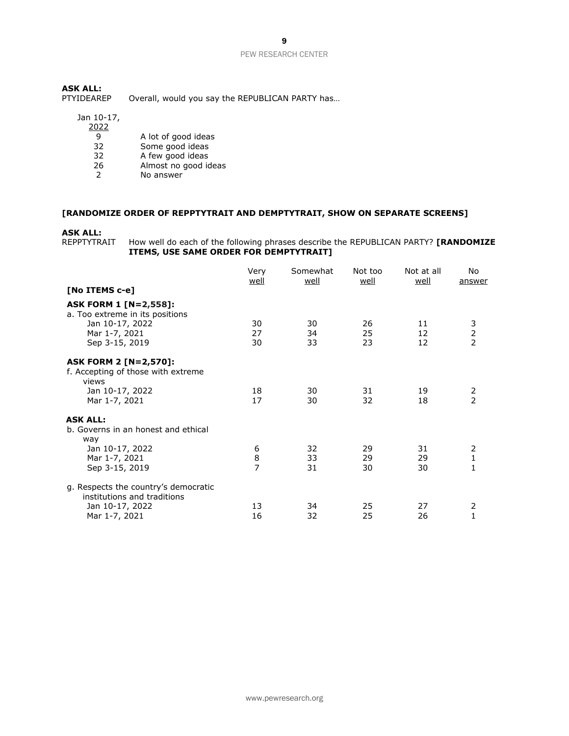9

### PEW RESEARCH CENTER

**ASK ALL:** Overall, would you say the REPUBLICAN PARTY has...

# Jan 10-17,

| 2022 |                      |
|------|----------------------|
| q    | A lot of good ideas  |
| 32   | Some good ideas      |
| 32   | A few good ideas     |
| 26   | Almost no good ideas |
|      | No answer            |

# **[RANDOMIZE ORDER OF REPPTYTRAIT AND DEMPTYTRAIT, SHOW ON SEPARATE SCREENS]**

### **ASK ALL:**

### REPPTYTRAIT How well do each of the following phrases describe the REPUBLICAN PARTY? **[RANDOMIZE ITEMS, USE SAME ORDER FOR DEMPTYTRAIT]**

|                                                                             | Very<br>well   | Somewhat<br>well | Not too<br><u>well</u> | Not at all<br>well | No<br>answer                          |
|-----------------------------------------------------------------------------|----------------|------------------|------------------------|--------------------|---------------------------------------|
| [No ITEMS c-e]                                                              |                |                  |                        |                    |                                       |
| <b>ASK FORM 1 [N=2,558]:</b><br>a. Too extreme in its positions             |                |                  |                        |                    |                                       |
| Jan 10-17, 2022                                                             | 30             | 30               | 26                     | 11                 | $\frac{3}{2}$                         |
| Mar 1-7, 2021                                                               | 27<br>30       | 34<br>33         | 25<br>23               | 12<br>12           |                                       |
| Sep 3-15, 2019                                                              |                |                  |                        |                    |                                       |
| <b>ASK FORM 2 [N=2,570]:</b><br>f. Accepting of those with extreme<br>views |                |                  |                        |                    |                                       |
| Jan 10-17, 2022                                                             | 18             | 30               | 31                     | 19                 | 2                                     |
| Mar 1-7, 2021                                                               | 17             | 30               | 32                     | 18                 | $\overline{2}$                        |
| <b>ASK ALL:</b><br>b. Governs in an honest and ethical<br>way               |                |                  |                        |                    |                                       |
| Jan 10-17, 2022                                                             | 6              | 32               | 29                     | 31                 | $\begin{array}{c} 2 \\ 1 \end{array}$ |
| Mar 1-7, 2021                                                               | 8              | 33               | 29                     | 29                 |                                       |
| Sep 3-15, 2019                                                              | $\overline{7}$ | 31               | 30                     | 30                 | 1                                     |
| g. Respects the country's democratic<br>institutions and traditions         |                |                  |                        |                    |                                       |
| Jan 10-17, 2022                                                             | 13             | 34               | 25                     | 27                 | 2                                     |
| Mar 1-7, 2021                                                               | 16             | 32               | 25                     | 26                 | $\overline{1}$                        |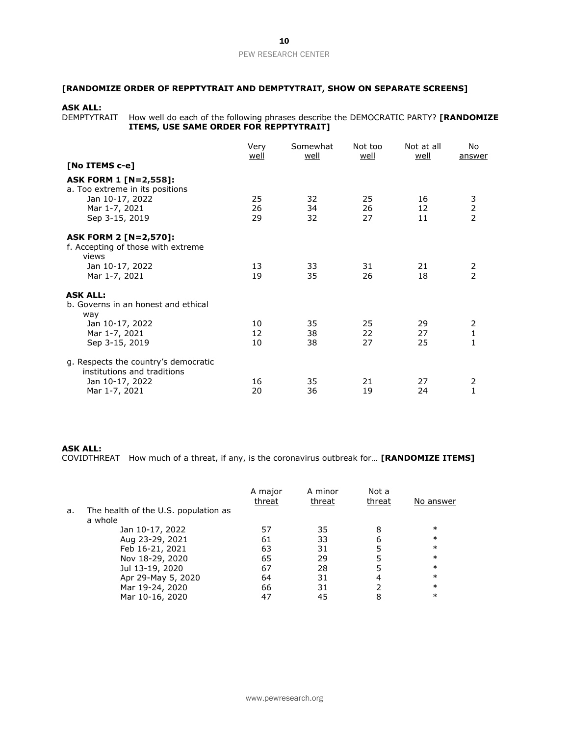# **[RANDOMIZE ORDER OF REPPTYTRAIT AND DEMPTYTRAIT, SHOW ON SEPARATE SCREENS]**

### **ASK ALL:**

DEMPTYTRAIT How well do each of the following phrases describe the DEMOCRATIC PARTY? **[RANDOMIZE ITEMS, USE SAME ORDER FOR REPPTYTRAIT]** 

|                                                                                                                       | Very<br><u>well</u> | Somewhat<br>well | Not too<br>well | Not at all<br>well | No.<br>answer                     |
|-----------------------------------------------------------------------------------------------------------------------|---------------------|------------------|-----------------|--------------------|-----------------------------------|
| [No ITEMS c-e]                                                                                                        |                     |                  |                 |                    |                                   |
| <b>ASK FORM 1 [N=2,558]:</b><br>a. Too extreme in its positions<br>Jan 10-17, 2022<br>Mar 1-7, 2021<br>Sep 3-15, 2019 | 25<br>26<br>29      | 32<br>34<br>32   | 25<br>26<br>27  | 16<br>12<br>11     | 3<br>2<br>2                       |
| <b>ASK FORM 2 [N=2,570]:</b><br>f. Accepting of those with extreme<br>views                                           |                     |                  |                 |                    |                                   |
| Jan 10-17, 2022<br>Mar 1-7, 2021                                                                                      | 13<br>19            | 33<br>35         | 31<br>26        | 21<br>18           | 2<br>$\overline{2}$               |
| <b>ASK ALL:</b><br>b. Governs in an honest and ethical<br>way                                                         |                     |                  |                 |                    |                                   |
| Jan 10-17, 2022<br>Mar 1-7, 2021<br>Sep 3-15, 2019                                                                    | 10<br>12<br>10      | 35<br>38<br>38   | 25<br>22<br>27  | 29<br>27<br>25     | 2<br>$\mathbf{1}$<br>$\mathbf{1}$ |
| g. Respects the country's democratic<br>institutions and traditions<br>Jan 10-17, 2022<br>Mar 1-7, 2021               | 16<br>20            | 35<br>36         | 21<br>19        | 27<br>24           | 2<br>1                            |

### **ASK ALL:**

COVIDTHREAT How much of a threat, if any, is the coronavirus outbreak for… **[RANDOMIZE ITEMS]**

|    |                                                 | A major<br>threat | A minor<br>threat | Not a<br>threat | No answer |
|----|-------------------------------------------------|-------------------|-------------------|-----------------|-----------|
| a. | The health of the U.S. population as<br>a whole |                   |                   |                 |           |
|    | Jan 10-17, 2022                                 | 57                | 35                | 8               | $\ast$    |
|    | Aug 23-29, 2021                                 | 61                | 33                | 6               | $\ast$    |
|    | Feb 16-21, 2021                                 | 63                | 31                |                 | $\ast$    |
|    | Nov 18-29, 2020                                 | 65                | 29                |                 | $\ast$    |
|    | Jul 13-19, 2020                                 | 67                | 28                |                 | $\ast$    |
|    | Apr 29-May 5, 2020                              | 64                | 31                |                 | $\ast$    |
|    | Mar 19-24, 2020                                 | 66                | 31                |                 | $\ast$    |
|    | Mar 10-16, 2020                                 | 47                | 45                |                 | $\ast$    |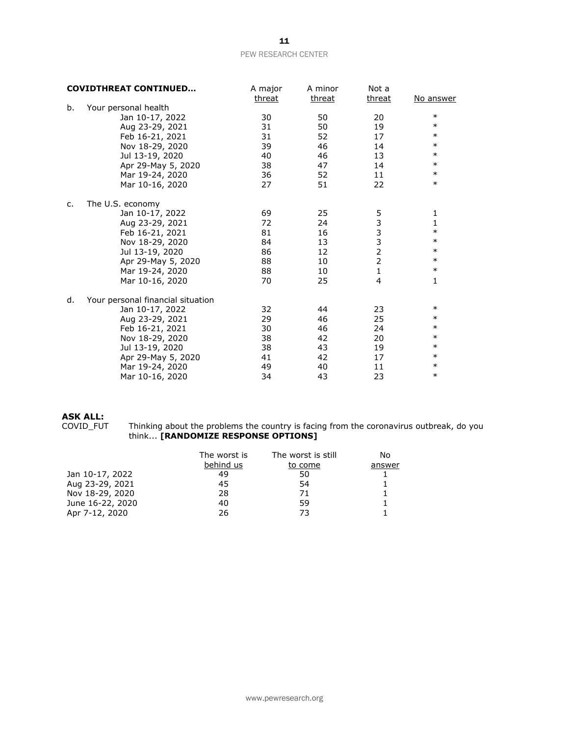|    | <b>COVIDTHREAT CONTINUED</b>      | A major | A minor | Not a          |              |
|----|-----------------------------------|---------|---------|----------------|--------------|
|    |                                   | threat  | threat  | threat         | No answer    |
| b. | Your personal health              |         |         |                |              |
|    | Jan 10-17, 2022                   | 30      | 50      | 20             | $\ast$       |
|    | Aug 23-29, 2021                   | 31      | 50      | 19             | $\ast$       |
|    | Feb 16-21, 2021                   | 31      | 52      | 17             | $\ast$       |
|    | Nov 18-29, 2020                   | 39      | 46      | 14             | $\ast$       |
|    | Jul 13-19, 2020                   | 40      | 46      | 13             | $\ast$       |
|    | Apr 29-May 5, 2020                | 38      | 47      | 14             | $\ast$       |
|    | Mar 19-24, 2020                   | 36      | 52      | 11             | $\ast$       |
|    | Mar 10-16, 2020                   | 27      | 51      | 22             | $\ast$       |
| c. | The U.S. economy                  |         |         |                |              |
|    | Jan 10-17, 2022                   | 69      | 25      |                | 1            |
|    | Aug 23-29, 2021                   | 72      | 24      | 53332          | $\mathbf{1}$ |
|    | Feb 16-21, 2021                   | 81      | 16      |                | $\ast$       |
|    | Nov 18-29, 2020                   | 84      | 13      |                | $\ast$       |
|    | Jul 13-19, 2020                   | 86      | 12      |                | $\ast$       |
|    | Apr 29-May 5, 2020                | 88      | 10      | $\overline{2}$ | $\ast$       |
|    | Mar 19-24, 2020                   | 88      | 10      | $\mathbf{1}$   | $\ast$       |
|    | Mar 10-16, 2020                   | 70      | 25      | 4              | 1            |
| d. | Your personal financial situation |         |         |                |              |
|    | Jan 10-17, 2022                   | 32      | 44      | 23             | $\ast$       |
|    | Aug 23-29, 2021                   | 29      | 46      | 25             | $\ast$       |
|    | Feb 16-21, 2021                   | 30      | 46      | 24             | $\ast$       |
|    | Nov 18-29, 2020                   | 38      | 42      | 20             | $\ast$       |
|    | Jul 13-19, 2020                   | 38      | 43      | 19             | $\ast$       |
|    | Apr 29-May 5, 2020                | 41      | 42      | 17             | $\ast$       |
|    | Mar 19-24, 2020                   | 49      | 40      | 11             | $\ast$       |
|    | Mar 10-16, 2020                   | 34      | 43      | 23             | $\ast$       |

# **ASK ALL:**

COVID\_FUT Thinking about the problems the country is facing from the coronavirus outbreak, do you think... **[RANDOMIZE RESPONSE OPTIONS]**

|                  | The worst is<br>behind us | The worst is still<br>to come | No<br>answer |
|------------------|---------------------------|-------------------------------|--------------|
|                  |                           |                               |              |
| Jan 10-17, 2022  | 49                        | 50                            |              |
| Aug 23-29, 2021  | 45                        | 54                            |              |
| Nov 18-29, 2020  | 28                        | 71                            |              |
| June 16-22, 2020 | 40                        | 59                            |              |
| Apr 7-12, 2020   | 26                        | 73                            |              |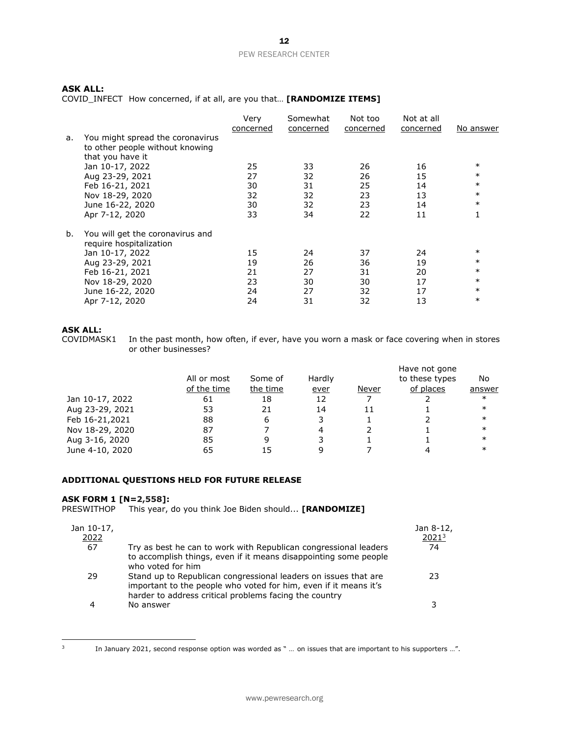# **ASK ALL:**

COVID\_INFECT How concerned, if at all, are you that… **[RANDOMIZE ITEMS]**

|    |                                                             | Very<br>concerned | Somewhat<br>concerned | Not too<br>concerned | Not at all<br>concerned | No answer |
|----|-------------------------------------------------------------|-------------------|-----------------------|----------------------|-------------------------|-----------|
| а. | You might spread the coronavirus                            |                   |                       |                      |                         |           |
|    | to other people without knowing                             |                   |                       |                      |                         |           |
|    | that you have it                                            |                   |                       |                      |                         |           |
|    | Jan 10-17, 2022                                             | 25                | 33                    | 26                   | 16                      | $\ast$    |
|    | Aug 23-29, 2021                                             | 27                | 32                    | 26                   | 15                      | $\ast$    |
|    | Feb 16-21, 2021                                             | 30                | 31                    | 25                   | 14                      | $\ast$    |
|    | Nov 18-29, 2020                                             | 32                | 32                    | 23                   | 13                      | $\ast$    |
|    | June 16-22, 2020                                            | 30                | 32                    | 23                   | 14                      | $\ast$    |
|    | Apr 7-12, 2020                                              | 33                | 34                    | 22                   | 11                      |           |
| b. | You will get the coronavirus and<br>require hospitalization |                   |                       |                      |                         |           |
|    | Jan 10-17, 2022                                             | 15                | 24                    | 37                   | 24                      | $\ast$    |
|    | Aug 23-29, 2021                                             | 19                | 26                    | 36                   | 19                      | $\ast$    |
|    | Feb 16-21, 2021                                             | 21                | 27                    | 31                   | 20                      | $\ast$    |
|    | Nov 18-29, 2020                                             | 23                | 30                    | 30                   | 17                      | $\ast$    |
|    | June 16-22, 2020                                            | 24                | 27                    | 32                   | 17                      | $\ast$    |
|    | Apr 7-12, 2020                                              | 24                | 31                    | 32                   | 13                      | $\ast$    |

# **ASK ALL:**

In the past month, how often, if ever, have you worn a mask or face covering when in stores or other businesses?

|                 |             |          |        |       | Have not gone  |        |
|-----------------|-------------|----------|--------|-------|----------------|--------|
|                 | All or most | Some of  | Hardly |       | to these types | No     |
|                 | of the time | the time | ever   | Never | of places      | answer |
| Jan 10-17, 2022 | 61          | 18       | 12     |       |                | $\ast$ |
| Aug 23-29, 2021 | 53          | 21       | 14     | 11    |                | $\ast$ |
| Feb 16-21,2021  | 88          | 6        | 3      |       |                | $\ast$ |
| Nov 18-29, 2020 | 87          |          | 4      |       |                | $\ast$ |
| Aug 3-16, 2020  | 85          | 9        |        |       |                | $\ast$ |
| June 4-10, 2020 | 65          |          | q      |       |                | $\ast$ |

# **ADDITIONAL QUESTIONS HELD FOR FUTURE RELEASE**

### **ASK FORM 1 [N=2,558]:**

PRESWITHOP This year, do you think Joe Biden should... **[RANDOMIZE]**

| Jan 10-17,<br>2022 |                                                                                                                                                                                               | Jan 8-12,<br>2021 <sup>3</sup> |
|--------------------|-----------------------------------------------------------------------------------------------------------------------------------------------------------------------------------------------|--------------------------------|
| 67                 | Try as best he can to work with Republican congressional leaders<br>to accomplish things, even if it means disappointing some people<br>who voted for him                                     | 74                             |
| 29                 | Stand up to Republican congressional leaders on issues that are<br>important to the people who voted for him, even if it means it's<br>harder to address critical problems facing the country | 23                             |
|                    | No answer                                                                                                                                                                                     |                                |

3

In January 2021, second response option was worded as " … on issues that are important to his supporters …".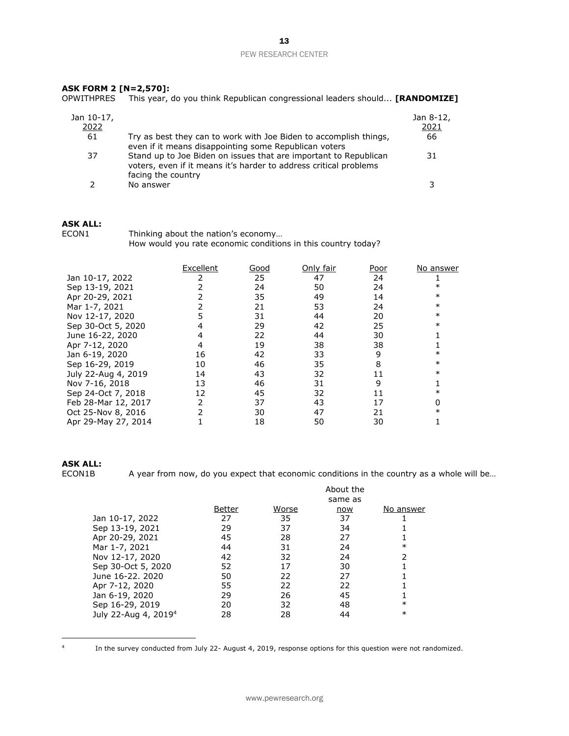### **ASK FORM 2 [N=2,570]:**

OPWITHPRES This year, do you think Republican congressional leaders should... **[RANDOMIZE]**

| Jan 10-17,<br>2022 |                                                                                                                                                             | Jan 8-12,<br>2021 |
|--------------------|-------------------------------------------------------------------------------------------------------------------------------------------------------------|-------------------|
| 61                 | Try as best they can to work with Joe Biden to accomplish things,<br>even if it means disappointing some Republican voters                                  | 66                |
| 37                 | Stand up to Joe Biden on issues that are important to Republican<br>voters, even if it means it's harder to address critical problems<br>facing the country | 31                |
|                    | No answer                                                                                                                                                   |                   |

## **ASK ALL:**

ECON1 Thinking about the nation's economy... How would you rate economic conditions in this country today?

|                     | Excellent | Good | Only fair | Poor | No answer |
|---------------------|-----------|------|-----------|------|-----------|
| Jan 10-17, 2022     |           | 25   | 47        | 24   |           |
| Sep 13-19, 2021     |           | 24   | 50        | 24   | $\ast$    |
| Apr 20-29, 2021     |           | 35   | 49        | 14   | $\ast$    |
| Mar 1-7, 2021       |           | 21   | 53        | 24   | $\ast$    |
| Nov 12-17, 2020     |           | 31   | 44        | 20   | $\ast$    |
| Sep 30-Oct 5, 2020  |           | 29   | 42        | 25   | $\ast$    |
| June 16-22, 2020    |           | 22   | 44        | 30   |           |
| Apr 7-12, 2020      |           | 19   | 38        | 38   |           |
| Jan 6-19, 2020      | 16        | 42   | 33        | 9    | ∗         |
| Sep 16-29, 2019     | 10        | 46   | 35        | 8    | $\ast$    |
| July 22-Aug 4, 2019 | 14        | 43   | 32        | 11   | $\ast$    |
| Nov 7-16, 2018      | 13        | 46   | 31        | 9    |           |
| Sep 24-Oct 7, 2018  | 12        | 45   | 32        | 11   | ∗         |
| Feb 28-Mar 12, 2017 |           | 37   | 43        | 17   |           |
| Oct 25-Nov 8, 2016  |           | 30   | 47        | 21   |           |
| Apr 29-May 27, 2014 |           | 18   | 50        | 30   |           |

#### **ASK ALL:**

ECON1B A year from now, do you expect that economic conditions in the country as a whole will be...

|                                  |        |       | About the |               |
|----------------------------------|--------|-------|-----------|---------------|
|                                  |        |       | same as   |               |
|                                  | Better | Worse | now       | No answer     |
| Jan 10-17, 2022                  | 27     | 35    | 37        |               |
| Sep 13-19, 2021                  | 29     | 37    | 34        |               |
| Apr 20-29, 2021                  | 45     | 28    | 27        |               |
| Mar 1-7, 2021                    | 44     | 31    | 24        | $\ast$        |
| Nov 12-17, 2020                  | 42     | 32    | 24        | $\mathcal{P}$ |
| Sep 30-Oct 5, 2020               | 52     | 17    | 30        |               |
| June 16-22, 2020                 | 50     | 22    | 27        |               |
| Apr 7-12, 2020                   | 55     | 22    | 22        |               |
| Jan 6-19, 2020                   | 29     | 26    | 45        |               |
| Sep 16-29, 2019                  | 20     | 32    | 48        | $\ast$        |
| July 22-Aug 4, 2019 <sup>4</sup> | 28     | 28    | 44        | $\ast$        |

4

In the survey conducted from July 22- August 4, 2019, response options for this question were not randomized.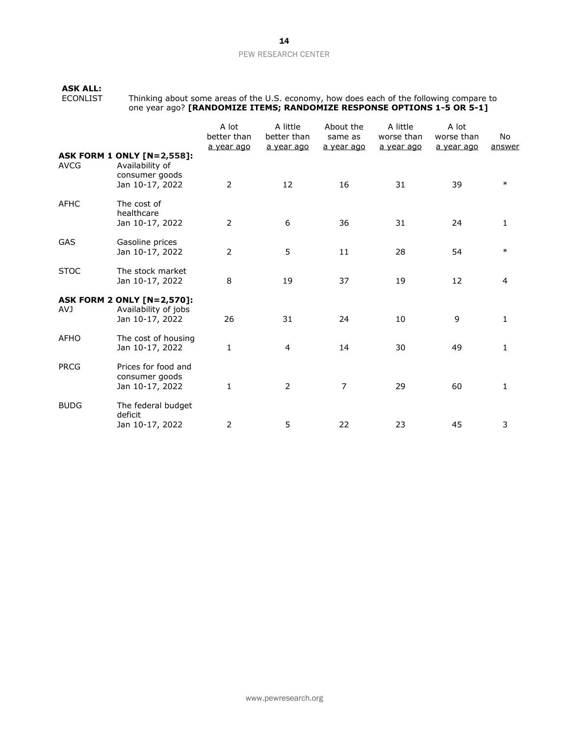# **ASK ALL:**

ECONLIST Thinking about some areas of the U.S. economy, how does each of the following compare to one year ago? **[RANDOMIZE ITEMS; RANDOMIZE RESPONSE OPTIONS 1-5 OR 5-1]**

|             |                                                                                           | A lot<br>better than<br>a year ago | A little<br>better than<br>a year ago | About the<br>same as<br>a year ago | A little<br>worse than<br>a year ago | A lot<br>worse than<br>a year ago | No<br>answer |
|-------------|-------------------------------------------------------------------------------------------|------------------------------------|---------------------------------------|------------------------------------|--------------------------------------|-----------------------------------|--------------|
| <b>AVCG</b> | <b>ASK FORM 1 ONLY [N=2,558]:</b><br>Availability of<br>consumer goods<br>Jan 10-17, 2022 | $\overline{2}$                     | 12                                    | 16                                 | 31                                   | 39                                | $\ast$       |
| <b>AFHC</b> | The cost of<br>healthcare<br>Jan 10-17, 2022                                              | $\overline{2}$                     | $\boldsymbol{6}$                      | 36                                 | 31                                   | 24                                | 1            |
| GAS         | Gasoline prices<br>Jan 10-17, 2022                                                        | $\overline{2}$                     | 5                                     | 11                                 | 28                                   | 54                                | $\ast$       |
| <b>STOC</b> | The stock market<br>Jan 10-17, 2022                                                       | 8                                  | 19                                    | 37                                 | 19                                   | 12                                | 4            |
| <b>AVJ</b>  | <b>ASK FORM 2 ONLY [N=2,570]:</b><br>Availability of jobs<br>Jan 10-17, 2022              | 26                                 | 31                                    | 24                                 | 10                                   | 9                                 | 1            |
| <b>AFHO</b> | The cost of housing<br>Jan 10-17, 2022                                                    | $\mathbf{1}$                       | $\overline{4}$                        | 14                                 | 30                                   | 49                                | $\mathbf{1}$ |
| <b>PRCG</b> | Prices for food and<br>consumer goods<br>Jan 10-17, 2022                                  | $\mathbf{1}$                       | $\overline{2}$                        | 7                                  | 29                                   | 60                                | 1            |
| <b>BUDG</b> | The federal budget<br>deficit<br>Jan 10-17, 2022                                          | 2                                  | 5                                     | 22                                 | 23                                   | 45                                | 3            |